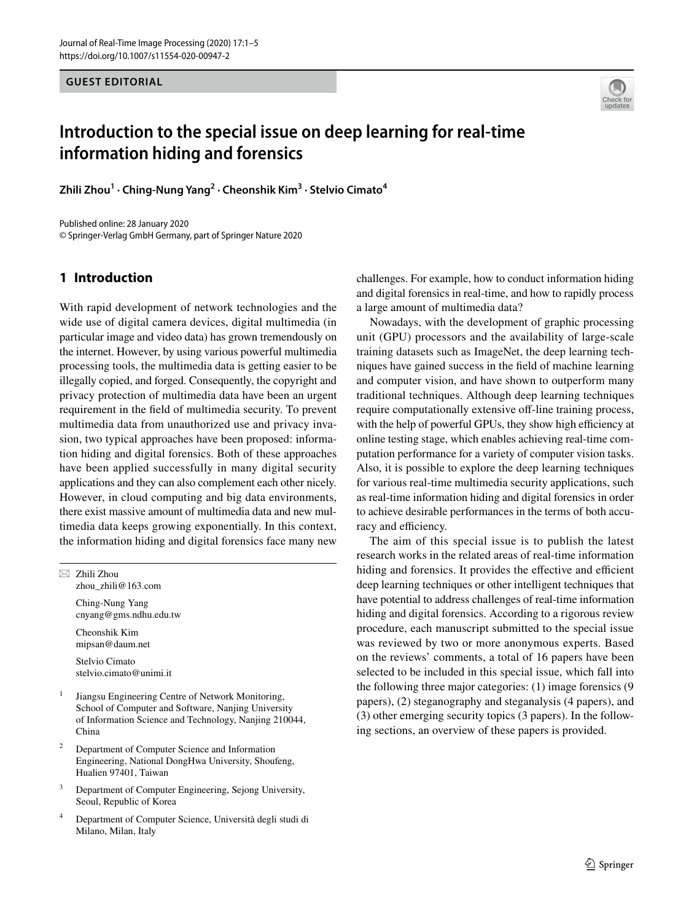**GUEST EDITORIAL**



# **Introduction to the special issue on deep learning for real‑time information hiding and forensics**

**Zhili Zhou1 · Ching‑Nung Yang2 · Cheonshik Kim3 · Stelvio Cimato4**

Published online: 28 January 2020 © Springer-Verlag GmbH Germany, part of Springer Nature 2020

# **1 Introduction**

With rapid development of network technologies and the wide use of digital camera devices, digital multimedia (in particular image and video data) has grown tremendously on the internet. However, by using various powerful multimedia processing tools, the multimedia data is getting easier to be illegally copied, and forged. Consequently, the copyright and privacy protection of multimedia data have been an urgent requirement in the feld of multimedia security. To prevent multimedia data from unauthorized use and privacy invasion, two typical approaches have been proposed: information hiding and digital forensics. Both of these approaches have been applied successfully in many digital security applications and they can also complement each other nicely. However, in cloud computing and big data environments, there exist massive amount of multimedia data and new multimedia data keeps growing exponentially. In this context, the information hiding and digital forensics face many new

 $\boxtimes$  Zhili Zhou zhou\_zhili@163.com

> Ching-Nung Yang cnyang@gms.ndhu.edu.tw

Cheonshik Kim mipsan@daum.net

Stelvio Cimato stelvio.cimato@unimi.it

<sup>1</sup> Jiangsu Engineering Centre of Network Monitoring, School of Computer and Software, Nanjing University of Information Science and Technology, Nanjing 210044, China

- <sup>2</sup> Department of Computer Science and Information Engineering, National DongHwa University, Shoufeng, Hualien 97401, Taiwan
- <sup>3</sup> Department of Computer Engineering, Sejong University, Seoul, Republic of Korea
- <sup>4</sup> Department of Computer Science, Università degli studi di Milano, Milan, Italy

challenges. For example, how to conduct information hiding and digital forensics in real-time, and how to rapidly process a large amount of multimedia data?

Nowadays, with the development of graphic processing unit (GPU) processors and the availability of large-scale training datasets such as ImageNet, the deep learning techniques have gained success in the feld of machine learning and computer vision, and have shown to outperform many traditional techniques. Although deep learning techniques require computationally extensive off-line training process, with the help of powerful GPUs, they show high efficiency at online testing stage, which enables achieving real-time computation performance for a variety of computer vision tasks. Also, it is possible to explore the deep learning techniques for various real-time multimedia security applications, such as real-time information hiding and digital forensics in order to achieve desirable performances in the terms of both accuracy and efficiency.

The aim of this special issue is to publish the latest research works in the related areas of real-time information hiding and forensics. It provides the effective and efficient deep learning techniques or other intelligent techniques that have potential to address challenges of real-time information hiding and digital forensics. According to a rigorous review procedure, each manuscript submitted to the special issue was reviewed by two or more anonymous experts. Based on the reviews' comments, a total of 16 papers have been selected to be included in this special issue, which fall into the following three major categories: (1) image forensics (9 papers), (2) steganography and steganalysis (4 papers), and (3) other emerging security topics (3 papers). In the following sections, an overview of these papers is provided.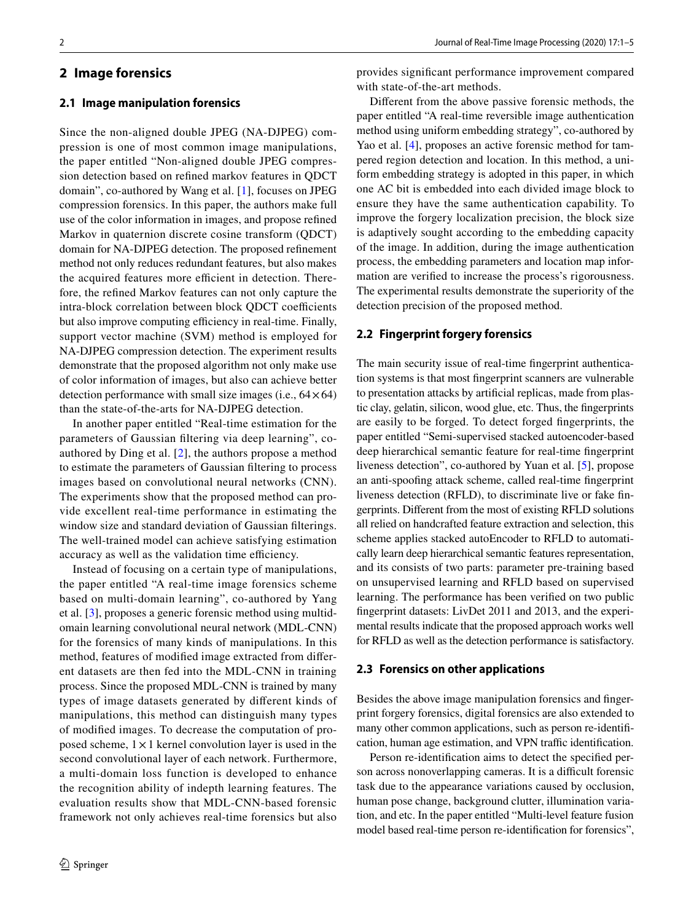## **2 Image forensics**

#### **2.1 Image manipulation forensics**

Since the non-aligned double JPEG (NA-DJPEG) compression is one of most common image manipulations, the paper entitled "Non-aligned double JPEG compression detection based on refned markov features in QDCT domain", co-authored by Wang et al. [[1](#page-4-0)], focuses on JPEG compression forensics. In this paper, the authors make full use of the color information in images, and propose refned Markov in quaternion discrete cosine transform (QDCT) domain for NA-DJPEG detection. The proposed refnement method not only reduces redundant features, but also makes the acquired features more efficient in detection. Therefore, the refned Markov features can not only capture the intra-block correlation between block QDCT coefficients but also improve computing efficiency in real-time. Finally, support vector machine (SVM) method is employed for NA-DJPEG compression detection. The experiment results demonstrate that the proposed algorithm not only make use of color information of images, but also can achieve better detection performance with small size images (i.e.,  $64 \times 64$ ) than the state-of-the-arts for NA-DJPEG detection.

In another paper entitled "Real-time estimation for the parameters of Gaussian fltering via deep learning", coauthored by Ding et al. [[2\]](#page-4-1), the authors propose a method to estimate the parameters of Gaussian fltering to process images based on convolutional neural networks (CNN). The experiments show that the proposed method can provide excellent real-time performance in estimating the window size and standard deviation of Gaussian flterings. The well-trained model can achieve satisfying estimation accuracy as well as the validation time efficiency.

Instead of focusing on a certain type of manipulations, the paper entitled "A real-time image forensics scheme based on multi-domain learning", co-authored by Yang et al. [\[3](#page-4-2)], proposes a generic forensic method using multidomain learning convolutional neural network (MDL-CNN) for the forensics of many kinds of manipulations. In this method, features of modifed image extracted from diferent datasets are then fed into the MDL-CNN in training process. Since the proposed MDL-CNN is trained by many types of image datasets generated by diferent kinds of manipulations, this method can distinguish many types of modifed images. To decrease the computation of proposed scheme,  $1 \times 1$  kernel convolution layer is used in the second convolutional layer of each network. Furthermore, a multi-domain loss function is developed to enhance the recognition ability of indepth learning features. The evaluation results show that MDL-CNN-based forensic framework not only achieves real-time forensics but also

provides signifcant performance improvement compared with state-of-the-art methods.

Diferent from the above passive forensic methods, the paper entitled "A real-time reversible image authentication method using uniform embedding strategy", co-authored by Yao et al. [\[4](#page-4-3)], proposes an active forensic method for tampered region detection and location. In this method, a uniform embedding strategy is adopted in this paper, in which one AC bit is embedded into each divided image block to ensure they have the same authentication capability. To improve the forgery localization precision, the block size is adaptively sought according to the embedding capacity of the image. In addition, during the image authentication process, the embedding parameters and location map information are verifed to increase the process's rigorousness. The experimental results demonstrate the superiority of the detection precision of the proposed method.

#### **2.2 Fingerprint forgery forensics**

The main security issue of real-time fngerprint authentication systems is that most fngerprint scanners are vulnerable to presentation attacks by artifcial replicas, made from plastic clay, gelatin, silicon, wood glue, etc. Thus, the fngerprints are easily to be forged. To detect forged fngerprints, the paper entitled "Semi-supervised stacked autoencoder-based deep hierarchical semantic feature for real-time fngerprint liveness detection", co-authored by Yuan et al. [\[5](#page-4-4)], propose an anti-spoofng attack scheme, called real-time fngerprint liveness detection (RFLD), to discriminate live or fake fngerprints. Diferent from the most of existing RFLD solutions all relied on handcrafted feature extraction and selection, this scheme applies stacked autoEncoder to RFLD to automatically learn deep hierarchical semantic features representation, and its consists of two parts: parameter pre-training based on unsupervised learning and RFLD based on supervised learning. The performance has been verifed on two public fngerprint datasets: LivDet 2011 and 2013, and the experimental results indicate that the proposed approach works well for RFLD as well as the detection performance is satisfactory.

#### **2.3 Forensics on other applications**

Besides the above image manipulation forensics and fngerprint forgery forensics, digital forensics are also extended to many other common applications, such as person re-identifcation, human age estimation, and VPN traffic identification.

Person re-identifcation aims to detect the specifed person across nonoverlapping cameras. It is a difficult forensic task due to the appearance variations caused by occlusion, human pose change, background clutter, illumination variation, and etc. In the paper entitled "Multi-level feature fusion model based real-time person re-identifcation for forensics",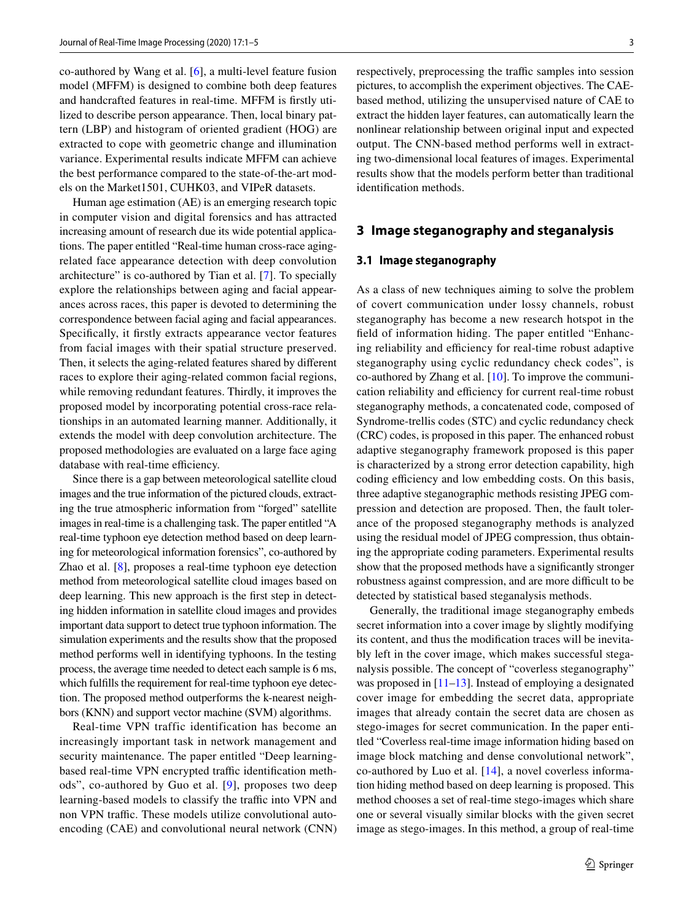co-authored by Wang et al. [\[6](#page-4-5)], a multi-level feature fusion model (MFFM) is designed to combine both deep features and handcrafted features in real-time. MFFM is frstly utilized to describe person appearance. Then, local binary pattern (LBP) and histogram of oriented gradient (HOG) are extracted to cope with geometric change and illumination variance. Experimental results indicate MFFM can achieve the best performance compared to the state-of-the-art models on the Market1501, CUHK03, and VIPeR datasets.

Human age estimation (AE) is an emerging research topic in computer vision and digital forensics and has attracted increasing amount of research due its wide potential applications. The paper entitled "Real-time human cross-race agingrelated face appearance detection with deep convolution architecture" is co-authored by Tian et al. [\[7](#page-4-6)]. To specially explore the relationships between aging and facial appearances across races, this paper is devoted to determining the correspondence between facial aging and facial appearances. Specifcally, it frstly extracts appearance vector features from facial images with their spatial structure preserved. Then, it selects the aging-related features shared by diferent races to explore their aging-related common facial regions, while removing redundant features. Thirdly, it improves the proposed model by incorporating potential cross-race relationships in an automated learning manner. Additionally, it extends the model with deep convolution architecture. The proposed methodologies are evaluated on a large face aging database with real-time efficiency.

Since there is a gap between meteorological satellite cloud images and the true information of the pictured clouds, extracting the true atmospheric information from "forged" satellite images in real-time is a challenging task. The paper entitled "A real-time typhoon eye detection method based on deep learning for meteorological information forensics", co-authored by Zhao et al. [[8\]](#page-4-7), proposes a real-time typhoon eye detection method from meteorological satellite cloud images based on deep learning. This new approach is the frst step in detecting hidden information in satellite cloud images and provides important data support to detect true typhoon information. The simulation experiments and the results show that the proposed method performs well in identifying typhoons. In the testing process, the average time needed to detect each sample is 6 ms, which fulflls the requirement for real-time typhoon eye detection. The proposed method outperforms the k-nearest neighbors (KNN) and support vector machine (SVM) algorithms.

Real-time VPN traffic identification has become an increasingly important task in network management and security maintenance. The paper entitled "Deep learningbased real-time VPN encrypted traffic identification methods", co-authored by Guo et al. [[9\]](#page-4-8), proposes two deep learning-based models to classify the traffic into VPN and non VPN traffic. These models utilize convolutional autoencoding (CAE) and convolutional neural network (CNN) respectively, preprocessing the traffic samples into session pictures, to accomplish the experiment objectives. The CAEbased method, utilizing the unsupervised nature of CAE to extract the hidden layer features, can automatically learn the nonlinear relationship between original input and expected output. The CNN-based method performs well in extracting two-dimensional local features of images. Experimental results show that the models perform better than traditional identifcation methods.

#### **3 Image steganography and steganalysis**

#### **3.1 Image steganography**

As a class of new techniques aiming to solve the problem of covert communication under lossy channels, robust steganography has become a new research hotspot in the feld of information hiding. The paper entitled "Enhancing reliability and efficiency for real-time robust adaptive steganography using cyclic redundancy check codes", is co-authored by Zhang et al. [[10\]](#page-4-9). To improve the communication reliability and efficiency for current real-time robust steganography methods, a concatenated code, composed of Syndrome-trellis codes (STC) and cyclic redundancy check (CRC) codes, is proposed in this paper. The enhanced robust adaptive steganography framework proposed is this paper is characterized by a strong error detection capability, high coding efficiency and low embedding costs. On this basis, three adaptive steganographic methods resisting JPEG compression and detection are proposed. Then, the fault tolerance of the proposed steganography methods is analyzed using the residual model of JPEG compression, thus obtaining the appropriate coding parameters. Experimental results show that the proposed methods have a signifcantly stronger robustness against compression, and are more difficult to be detected by statistical based steganalysis methods.

Generally, the traditional image steganography embeds secret information into a cover image by slightly modifying its content, and thus the modifcation traces will be inevitably left in the cover image, which makes successful steganalysis possible. The concept of "coverless steganography" was proposed in  $[11–13]$  $[11–13]$  $[11–13]$ . Instead of employing a designated cover image for embedding the secret data, appropriate images that already contain the secret data are chosen as stego-images for secret communication. In the paper entitled "Coverless real-time image information hiding based on image block matching and dense convolutional network", co-authored by Luo et al. [[14\]](#page-4-12), a novel coverless information hiding method based on deep learning is proposed. This method chooses a set of real-time stego-images which share one or several visually similar blocks with the given secret image as stego-images. In this method, a group of real-time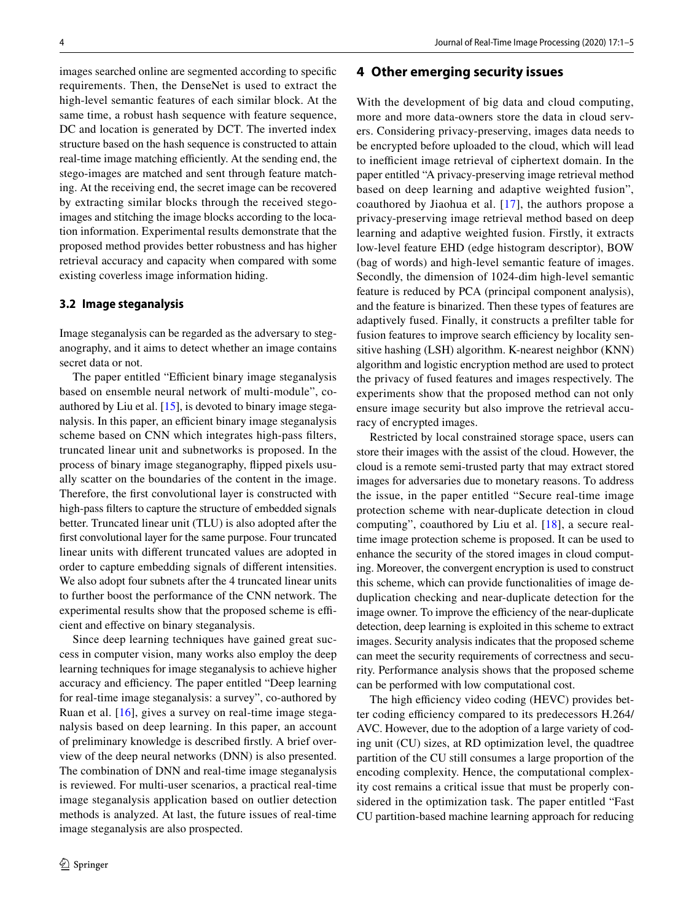images searched online are segmented according to specifc requirements. Then, the DenseNet is used to extract the high-level semantic features of each similar block. At the same time, a robust hash sequence with feature sequence, DC and location is generated by DCT. The inverted index structure based on the hash sequence is constructed to attain real-time image matching efficiently. At the sending end, the stego-images are matched and sent through feature matching. At the receiving end, the secret image can be recovered by extracting similar blocks through the received stegoimages and stitching the image blocks according to the location information. Experimental results demonstrate that the proposed method provides better robustness and has higher retrieval accuracy and capacity when compared with some existing coverless image information hiding.

## **3.2 Image steganalysis**

Image steganalysis can be regarded as the adversary to steganography, and it aims to detect whether an image contains secret data or not.

The paper entitled "Efficient binary image steganalysis based on ensemble neural network of multi-module", coauthored by Liu et al. [[15\]](#page-4-13), is devoted to binary image steganalysis. In this paper, an efficient binary image steganalysis scheme based on CNN which integrates high-pass flters, truncated linear unit and subnetworks is proposed. In the process of binary image steganography, fipped pixels usually scatter on the boundaries of the content in the image. Therefore, the frst convolutional layer is constructed with high-pass flters to capture the structure of embedded signals better. Truncated linear unit (TLU) is also adopted after the frst convolutional layer for the same purpose. Four truncated linear units with diferent truncated values are adopted in order to capture embedding signals of diferent intensities. We also adopt four subnets after the 4 truncated linear units to further boost the performance of the CNN network. The experimental results show that the proposed scheme is efficient and efective on binary steganalysis.

Since deep learning techniques have gained great success in computer vision, many works also employ the deep learning techniques for image steganalysis to achieve higher accuracy and efficiency. The paper entitled "Deep learning for real-time image steganalysis: a survey", co-authored by Ruan et al. [\[16\]](#page-4-14), gives a survey on real-time image steganalysis based on deep learning. In this paper, an account of preliminary knowledge is described frstly. A brief overview of the deep neural networks (DNN) is also presented. The combination of DNN and real-time image steganalysis is reviewed. For multi-user scenarios, a practical real-time image steganalysis application based on outlier detection methods is analyzed. At last, the future issues of real-time image steganalysis are also prospected.

## **4 Other emerging security issues**

With the development of big data and cloud computing, more and more data-owners store the data in cloud servers. Considering privacy-preserving, images data needs to be encrypted before uploaded to the cloud, which will lead to inefficient image retrieval of ciphertext domain. In the paper entitled "A privacy-preserving image retrieval method based on deep learning and adaptive weighted fusion", coauthored by Jiaohua et al. [[17](#page-4-15)], the authors propose a privacy-preserving image retrieval method based on deep learning and adaptive weighted fusion. Firstly, it extracts low-level feature EHD (edge histogram descriptor), BOW (bag of words) and high-level semantic feature of images. Secondly, the dimension of 1024-dim high-level semantic feature is reduced by PCA (principal component analysis), and the feature is binarized. Then these types of features are adaptively fused. Finally, it constructs a preflter table for fusion features to improve search efficiency by locality sensitive hashing (LSH) algorithm. K-nearest neighbor (KNN) algorithm and logistic encryption method are used to protect the privacy of fused features and images respectively. The experiments show that the proposed method can not only ensure image security but also improve the retrieval accuracy of encrypted images.

Restricted by local constrained storage space, users can store their images with the assist of the cloud. However, the cloud is a remote semi-trusted party that may extract stored images for adversaries due to monetary reasons. To address the issue, in the paper entitled "Secure real-time image protection scheme with near-duplicate detection in cloud computing", coauthored by Liu et al. [\[18\]](#page-4-16), a secure realtime image protection scheme is proposed. It can be used to enhance the security of the stored images in cloud computing. Moreover, the convergent encryption is used to construct this scheme, which can provide functionalities of image deduplication checking and near-duplicate detection for the image owner. To improve the efficiency of the near-duplicate detection, deep learning is exploited in this scheme to extract images. Security analysis indicates that the proposed scheme can meet the security requirements of correctness and security. Performance analysis shows that the proposed scheme can be performed with low computational cost.

The high efficiency video coding (HEVC) provides better coding efficiency compared to its predecessors H.264/ AVC. However, due to the adoption of a large variety of coding unit (CU) sizes, at RD optimization level, the quadtree partition of the CU still consumes a large proportion of the encoding complexity. Hence, the computational complexity cost remains a critical issue that must be properly considered in the optimization task. The paper entitled "Fast CU partition-based machine learning approach for reducing